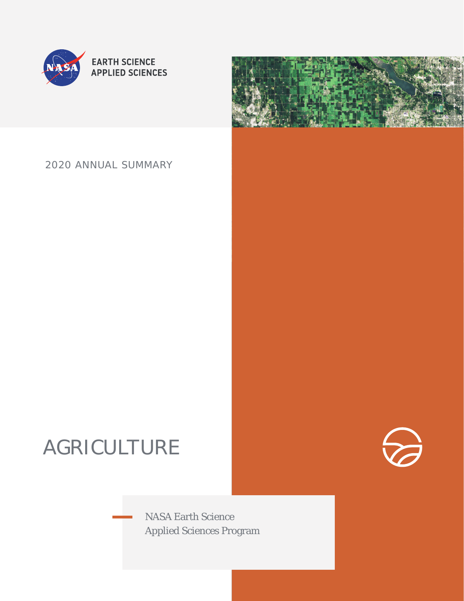

## 2020 ANNUAL SUMMARY

# AGRICULTURE

NASA Earth Science Applied Sciences Program

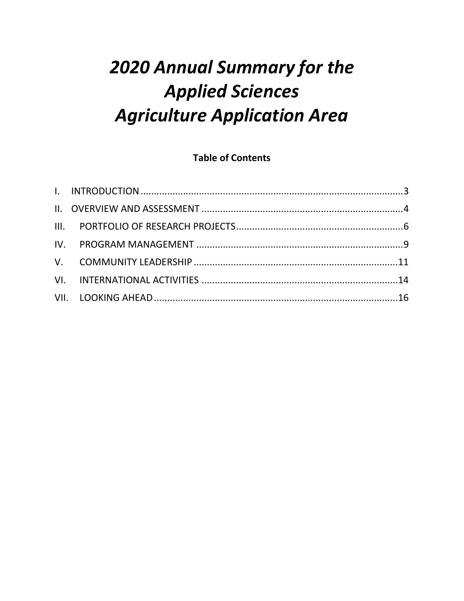# 2020 Annual Summary for the **Applied Sciences Agriculture Application Area**

## **Table of Contents**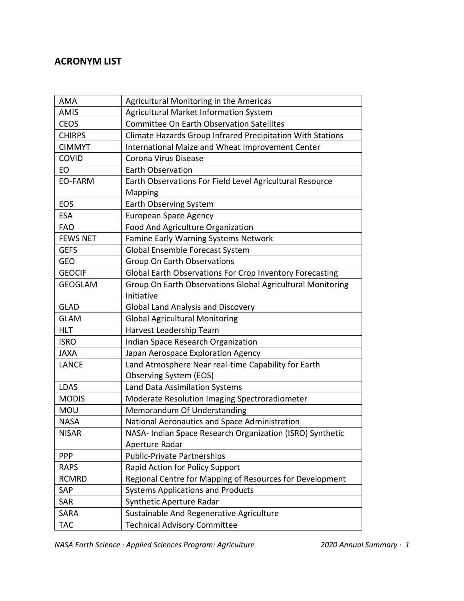## **ACRONYM LIST**

| AMA             | Agricultural Monitoring in the Americas                    |
|-----------------|------------------------------------------------------------|
| <b>AMIS</b>     | Agricultural Market Information System                     |
| <b>CEOS</b>     | <b>Committee On Earth Observation Satellites</b>           |
| <b>CHIRPS</b>   | Climate Hazards Group Infrared Precipitation With Stations |
| <b>CIMMYT</b>   | International Maize and Wheat Improvement Center           |
| COVID           | Corona Virus Disease                                       |
| EO              | <b>Earth Observation</b>                                   |
| EO-FARM         | Earth Observations For Field Level Agricultural Resource   |
|                 | <b>Mapping</b>                                             |
| EOS             | Earth Observing System                                     |
| <b>ESA</b>      | <b>European Space Agency</b>                               |
| <b>FAO</b>      | Food And Agriculture Organization                          |
| <b>FEWS NET</b> | Famine Early Warning Systems Network                       |
| <b>GEFS</b>     | Global Ensemble Forecast System                            |
| <b>GEO</b>      | <b>Group On Earth Observations</b>                         |
| <b>GEOCIF</b>   | Global Earth Observations For Crop Inventory Forecasting   |
| <b>GEOGLAM</b>  | Group On Earth Observations Global Agricultural Monitoring |
|                 | Initiative                                                 |
| <b>GLAD</b>     | <b>Global Land Analysis and Discovery</b>                  |
| <b>GLAM</b>     | <b>Global Agricultural Monitoring</b>                      |
| <b>HLT</b>      | Harvest Leadership Team                                    |
| <b>ISRO</b>     | Indian Space Research Organization                         |
| <b>JAXA</b>     | Japan Aerospace Exploration Agency                         |
| <b>LANCE</b>    | Land Atmosphere Near real-time Capability for Earth        |
|                 | Observing System (EOS)                                     |
| <b>LDAS</b>     | Land Data Assimilation Systems                             |
| <b>MODIS</b>    | Moderate Resolution Imaging Spectroradiometer              |
| <b>MOU</b>      | Memorandum Of Understanding                                |
| <b>NASA</b>     | National Aeronautics and Space Administration              |
| <b>NISAR</b>    | NASA- Indian Space Research Organization (ISRO) Synthetic  |
|                 | Aperture Radar                                             |
| <b>PPP</b>      | <b>Public-Private Partnerships</b>                         |
| <b>RAPS</b>     | Rapid Action for Policy Support                            |
| <b>RCMRD</b>    | Regional Centre for Mapping of Resources for Development   |
| SAP             | <b>Systems Applications and Products</b>                   |
| SAR             | Synthetic Aperture Radar                                   |
| SARA            | Sustainable And Regenerative Agriculture                   |
| <b>TAC</b>      | <b>Technical Advisory Committee</b>                        |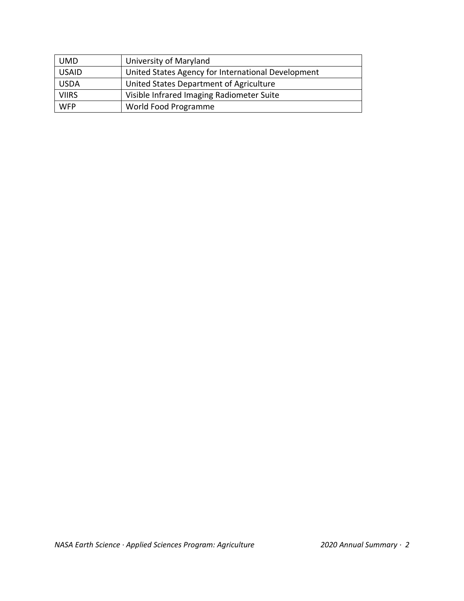| <b>UMD</b>   | University of Maryland                             |
|--------------|----------------------------------------------------|
| <b>USAID</b> | United States Agency for International Development |
| <b>USDA</b>  | United States Department of Agriculture            |
| <b>VIIRS</b> | Visible Infrared Imaging Radiometer Suite          |
| <b>WFP</b>   | World Food Programme                               |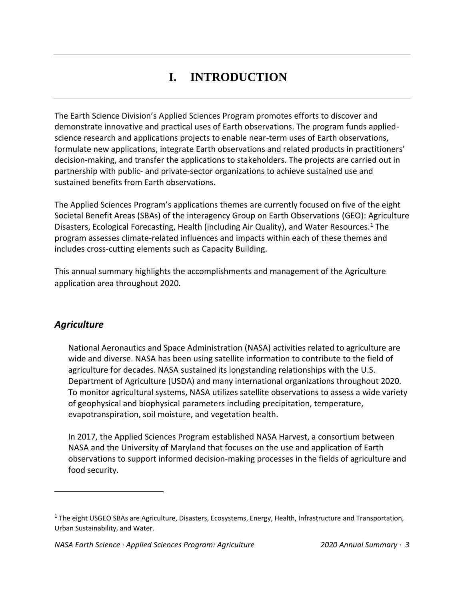# **I. INTRODUCTION**

<span id="page-4-0"></span>The Earth Science Division's Applied Sciences Program promotes efforts to discover and demonstrate innovative and practical uses of Earth observations. The program funds appliedscience research and applications projects to enable near-term uses of Earth observations, formulate new applications, integrate Earth observations and related products in practitioners' decision-making, and transfer the applications to stakeholders. The projects are carried out in partnership with public- and private-sector organizations to achieve sustained use and sustained benefits from Earth observations.

The Applied Sciences Program's applications themes are currently focused on five of the eight Societal Benefit Areas (SBAs) of the interagency Group on Earth Observations (GEO): Agriculture Disasters, Ecological Forecasting, Health (including Air Quality), and Water Resources.<sup>1</sup> The program assesses climate-related influences and impacts within each of these themes and includes cross-cutting elements such as Capacity Building.

This annual summary highlights the accomplishments and management of the Agriculture application area throughout 2020.

## *Agriculture*

National Aeronautics and Space Administration (NASA) activities related to agriculture are wide and diverse. NASA has been using satellite information to contribute to the field of agriculture for decades. NASA sustained its longstanding relationships with the U.S. Department of Agriculture (USDA) and many international organizations throughout 2020. To monitor agricultural systems, NASA utilizes satellite observations to assess a wide variety of geophysical and biophysical parameters including precipitation, temperature, evapotranspiration, soil moisture, and vegetation health.

In 2017, the Applied Sciences Program established NASA Harvest, a consortium between NASA and the University of Maryland that focuses on the use and application of Earth observations to support informed decision-making processes in the fields of agriculture and food security.

 $1$  The eight USGEO SBAs are Agriculture, Disasters, Ecosystems, Energy, Health, Infrastructure and Transportation, Urban Sustainability, and Water.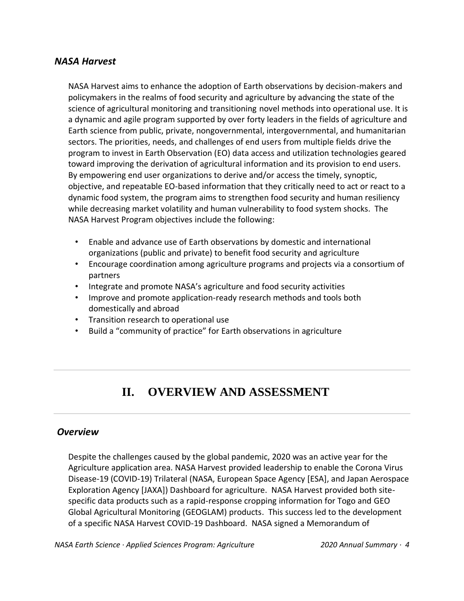#### *NASA Harvest*

NASA Harvest aims to enhance the adoption of Earth observations by decision-makers and policymakers in the realms of food security and agriculture by advancing the state of the science of agricultural monitoring and transitioning novel methods into operational use. It is a dynamic and agile program supported by over forty leaders in the fields of agriculture and Earth science from public, private, nongovernmental, intergovernmental, and humanitarian sectors. The priorities, needs, and challenges of end users from multiple fields drive the program to invest in Earth Observation (EO) data access and utilization technologies geared toward improving the derivation of agricultural information and its provision to end users. By empowering end user organizations to derive and/or access the timely, synoptic, objective, and repeatable EO-based information that they critically need to act or react to a dynamic food system, the program aims to strengthen food security and human resiliency while decreasing market volatility and human vulnerability to food system shocks. The NASA Harvest Program objectives include the following:

- Enable and advance use of Earth observations by domestic and international organizations (public and private) to benefit food security and agriculture
- Encourage coordination among agriculture programs and projects via a consortium of partners
- Integrate and promote NASA's agriculture and food security activities
- Improve and promote application-ready research methods and tools both domestically and abroad
- Transition research to operational use
- Build a "community of practice" for Earth observations in agriculture

## **II. OVERVIEW AND ASSESSMENT**

#### <span id="page-5-0"></span>*Overview*

Despite the challenges caused by the global pandemic, 2020 was an active year for the Agriculture application area. NASA Harvest provided leadership to enable the Corona Virus Disease-19 (COVID-19) Trilateral (NASA, European Space Agency [ESA], and Japan Aerospace Exploration Agency [JAXA]) Dashboard for agriculture. NASA Harvest provided both sitespecific data products such as a rapid-response cropping information for Togo and GEO Global Agricultural Monitoring (GEOGLAM) products. This success led to the development of a specific NASA Harvest COVID-19 Dashboard. NASA signed a Memorandum of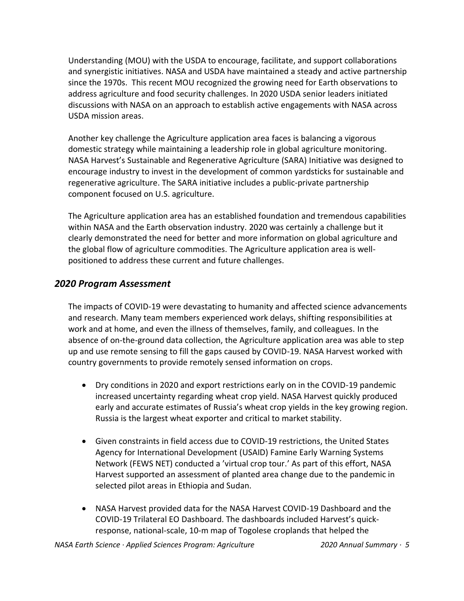Understanding (MOU) with the USDA to encourage, facilitate, and support collaborations and synergistic initiatives. NASA and USDA have maintained a steady and active partnership since the 1970s. This recent MOU recognized the growing need for Earth observations to address agriculture and food security challenges. In 2020 USDA senior leaders initiated discussions with NASA on an approach to establish active engagements with NASA across USDA mission areas.

Another key challenge the Agriculture application area faces is balancing a vigorous domestic strategy while maintaining a leadership role in global agriculture monitoring. NASA Harvest's Sustainable and Regenerative Agriculture (SARA) Initiative was designed to encourage industry to invest in the development of common yardsticks for sustainable and regenerative agriculture. The SARA initiative includes a public-private partnership component focused on U.S. agriculture.

The Agriculture application area has an established foundation and tremendous capabilities within NASA and the Earth observation industry. 2020 was certainly a challenge but it clearly demonstrated the need for better and more information on global agriculture and the global flow of agriculture commodities. The Agriculture application area is wellpositioned to address these current and future challenges.

### *2020 Program Assessment*

The impacts of COVID-19 were devastating to humanity and affected science advancements and research. Many team members experienced work delays, shifting responsibilities at work and at home, and even the illness of themselves, family, and colleagues. In the absence of on-the-ground data collection, the Agriculture application area was able to step up and use remote sensing to fill the gaps caused by COVID-19. NASA Harvest worked with country governments to provide remotely sensed information on crops.

- Dry conditions in 2020 and export restrictions early on in the COVID-19 pandemic increased uncertainty regarding wheat crop yield. NASA Harvest quickly produced early and accurate estimates of Russia's wheat crop yields in the key growing region. Russia is the largest wheat exporter and critical to market stability.
- Given constraints in field access due to COVID-19 restrictions, the United States Agency for International Development (USAID) Famine Early Warning Systems Network (FEWS NET) conducted a 'virtual crop tour.' As part of this effort, NASA Harvest supported an assessment of planted area change due to the pandemic in selected pilot areas in Ethiopia and Sudan.
- NASA Harvest provided data for the NASA Harvest COVID-19 Dashboard and the COVID-19 Trilateral EO Dashboard. The dashboards included Harvest's quickresponse, national-scale, 10-m map of Togolese croplands that helped the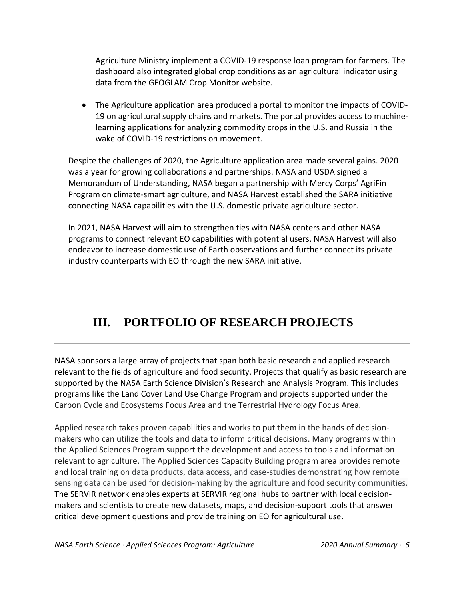Agriculture Ministry implement a COVID-19 response loan program for farmers. The dashboard also integrated global crop conditions as an agricultural indicator using data from the GEOGLAM Crop Monitor website.

• The Agriculture application area produced a portal to monitor the impacts of COVID-19 on agricultural supply chains and markets. The portal provides access to machinelearning applications for analyzing commodity crops in the U.S. and Russia in the wake of COVID-19 restrictions on movement.

Despite the challenges of 2020, the Agriculture application area made several gains. 2020 was a year for growing collaborations and partnerships. NASA and USDA signed a Memorandum of Understanding, NASA began a partnership with Mercy Corps' AgriFin Program on climate-smart agriculture, and NASA Harvest established the SARA initiative connecting NASA capabilities with the U.S. domestic private agriculture sector.

In 2021, NASA Harvest will aim to strengthen ties with NASA centers and other NASA programs to connect relevant EO capabilities with potential users. NASA Harvest will also endeavor to increase domestic use of Earth observations and further connect its private industry counterparts with EO through the new SARA initiative.

## <span id="page-7-0"></span>**III. PORTFOLIO OF RESEARCH PROJECTS**

NASA sponsors a large array of projects that span both basic research and applied research relevant to the fields of agriculture and food security. Projects that qualify as basic research are supported by the NASA Earth Science Division's Research and Analysis Program. This includes programs like the Land Cover Land Use Change Program and projects supported under the Carbon Cycle and Ecosystems Focus Area and the Terrestrial Hydrology Focus Area.

Applied research takes proven capabilities and works to put them in the hands of decisionmakers who can utilize the tools and data to inform critical decisions. Many programs within the Applied Sciences Program support the development and access to tools and information relevant to agriculture. The Applied Sciences Capacity Building program area provides remote and local training on data products, data access, and case-studies demonstrating how remote sensing data can be used for decision-making by the agriculture and food security communities. The SERVIR network enables experts at SERVIR regional hubs to partner with local decisionmakers and scientists to create new datasets, maps, and decision-support tools that answer critical development questions and provide training on EO for agricultural use.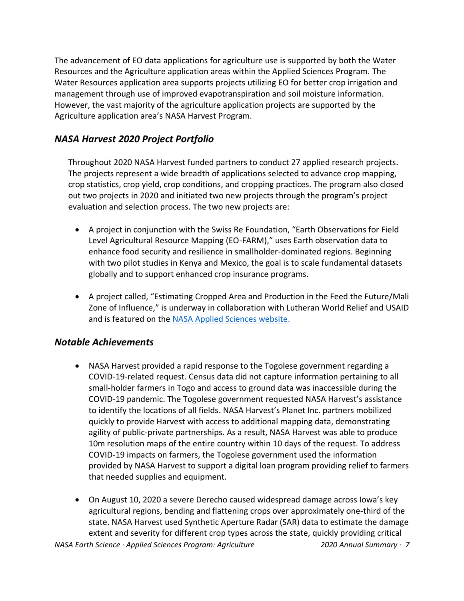The advancement of EO data applications for agriculture use is supported by both the Water Resources and the Agriculture application areas within the Applied Sciences Program. The Water Resources application area supports projects utilizing EO for better crop irrigation and management through use of improved evapotranspiration and soil moisture information. However, the vast majority of the agriculture application projects are supported by the Agriculture application area's NASA Harvest Program.

## *NASA Harvest 2020 Project Portfolio*

Throughout 2020 NASA Harvest funded partners to conduct 27 applied research projects. The projects represent a wide breadth of applications selected to advance crop mapping, crop statistics, crop yield, crop conditions, and cropping practices. The program also closed out two projects in 2020 and initiated two new projects through the program's project evaluation and selection process. The two new projects are:

- A project in conjunction with the Swiss Re Foundation, "Earth Observations for Field Level Agricultural Resource Mapping (EO-FARM)," uses Earth observation data to enhance food security and resilience in smallholder-dominated regions. Beginning with two pilot studies in Kenya and Mexico, the goal is to scale fundamental datasets globally and to support enhanced crop insurance programs.
- A project called, "Estimating Cropped Area and Production in the Feed the Future/Mali Zone of Influence," is underway in collaboration with Lutheran World Relief and USAID and is featured on the [NASA Applied Sciences website.](https://appliedsciences.nasa.gov/our-impact/story/eyeing-crop-conditions-fields-segou-mali)

## *Notable Achievements*

- NASA Harvest provided a rapid response to the Togolese government regarding a COVID-19-related request. Census data did not capture information pertaining to all small-holder farmers in Togo and access to ground data was inaccessible during the COVID-19 pandemic. The Togolese government requested NASA Harvest's assistance to identify the locations of all fields. NASA Harvest's Planet Inc. partners mobilized quickly to provide Harvest with access to additional mapping data, demonstrating agility of public-private partnerships. As a result, NASA Harvest was able to produce 10m resolution maps of the entire country within 10 days of the request. To address COVID-19 impacts on farmers, the Togolese government used the information provided by NASA Harvest to support a digital loan program providing relief to farmers that needed supplies and equipment.
- On August 10, 2020 a severe Derecho caused widespread damage across Iowa's key agricultural regions, bending and flattening crops over approximately one-third of the state. NASA Harvest used Synthetic Aperture Radar (SAR) data to estimate the damage extent and severity for different crop types across the state, quickly providing critical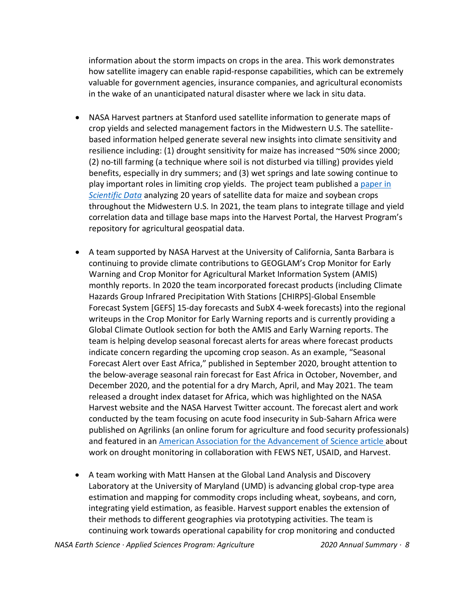information about the storm impacts on crops in the area. This work demonstrates how satellite imagery can enable rapid-response capabilities, which can be extremely valuable for government agencies, insurance companies, and agricultural economists in the wake of an unanticipated natural disaster where we lack in situ data.

- NASA Harvest partners at Stanford used satellite information to generate maps of crop yields and selected management factors in the Midwestern U.S. The satellitebased information helped generate several new insights into climate sensitivity and resilience including: (1) drought sensitivity for maize has increased ~50% since 2000; (2) no-till farming (a technique where soil is not disturbed via tilling) provides yield benefits, especially in dry summers; and (3) wet springs and late sowing continue to play important roles in limiting crop yields. The project team published a [paper in](https://www.nature.com/articles/s41597-020-00646-4)  *[Scientific Data](https://www.nature.com/articles/s41597-020-00646-4)* analyzing 20 years of satellite data for maize and soybean crops throughout the Midwestern U.S. In 2021, the team plans to integrate tillage and yield correlation data and tillage base maps into the Harvest Portal, the Harvest Program's repository for agricultural geospatial data.
- A team supported by NASA Harvest at the University of California, Santa Barbara is continuing to provide climate contributions to GEOGLAM's Crop Monitor for Early Warning and Crop Monitor for Agricultural Market Information System (AMIS) monthly reports. In 2020 the team incorporated forecast products (including Climate Hazards Group Infrared Precipitation With Stations [CHIRPS]-Global Ensemble Forecast System [GEFS] 15-day forecasts and SubX 4-week forecasts) into the regional writeups in the Crop Monitor for Early Warning reports and is currently providing a Global Climate Outlook section for both the AMIS and Early Warning reports. The team is helping develop seasonal forecast alerts for areas where forecast products indicate concern regarding the upcoming crop season. As an example, "Seasonal Forecast Alert over East Africa," published in September 2020, brought attention to the below-average seasonal rain forecast for East Africa in October, November, and December 2020, and the potential for a dry March, April, and May 2021. The team released a drought index dataset for Africa, which was highlighted on the NASA Harvest website and the NASA Harvest Twitter account. The forecast alert and work conducted by the team focusing on acute food insecurity in Sub-Saharn Africa were published on Agrilinks (an online forum for agriculture and food security professionals) and featured in an [American Association for the Advancement of](https://www.sciencemag.org/news/2020/04/how-team-scientists-studying-drought-helped-build-world-s-leading-famine-prediction) Science article about work on drought monitoring in collaboration with FEWS NET, USAID, and Harvest.
- A team working with Matt Hansen at the Global Land Analysis and Discovery Laboratory at the University of Maryland (UMD) is advancing global crop-type area estimation and mapping for commodity crops including wheat, soybeans, and corn, integrating yield estimation, as feasible. Harvest support enables the extension of their methods to different geographies via prototyping activities. The team is continuing work towards operational capability for crop monitoring and conducted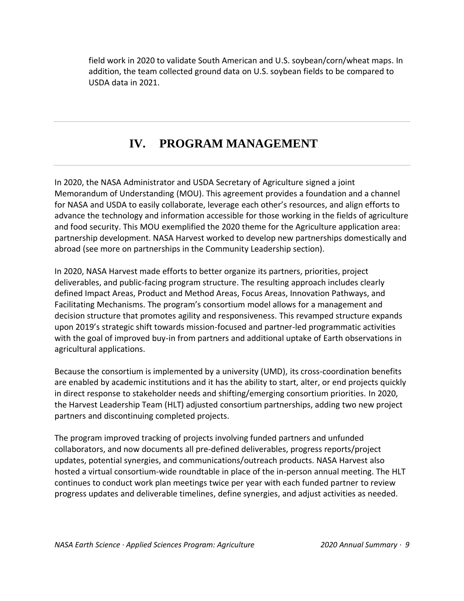field work in 2020 to validate South American and U.S. soybean/corn/wheat maps. In addition, the team collected ground data on U.S. soybean fields to be compared to USDA data in 2021.

## **IV. PROGRAM MANAGEMENT**

<span id="page-10-0"></span>In 2020, the NASA Administrator and USDA Secretary of Agriculture signed a joint Memorandum of Understanding (MOU). This agreement provides a foundation and a channel for NASA and USDA to easily collaborate, leverage each other's resources, and align efforts to advance the technology and information accessible for those working in the fields of agriculture and food security. This MOU exemplified the 2020 theme for the Agriculture application area: partnership development. NASA Harvest worked to develop new partnerships domestically and abroad (see more on partnerships in the Community Leadership section).

In 2020, NASA Harvest made efforts to better organize its partners, priorities, project deliverables, and public-facing program structure. The resulting approach includes clearly defined Impact Areas, Product and Method Areas, Focus Areas, Innovation Pathways, and Facilitating Mechanisms. The program's consortium model allows for a management and decision structure that promotes agility and responsiveness. This revamped structure expands upon 2019's strategic shift towards mission-focused and partner-led programmatic activities with the goal of improved buy-in from partners and additional uptake of Earth observations in agricultural applications.

Because the consortium is implemented by a university (UMD), its cross-coordination benefits are enabled by academic institutions and it has the ability to start, alter, or end projects quickly in direct response to stakeholder needs and shifting/emerging consortium priorities. In 2020, the Harvest Leadership Team (HLT) adjusted consortium partnerships, adding two new project partners and discontinuing completed projects.

The program improved tracking of projects involving funded partners and unfunded collaborators, and now documents all pre-defined deliverables, progress reports/project updates, potential synergies, and communications/outreach products. NASA Harvest also hosted a virtual consortium-wide roundtable in place of the in-person annual meeting. The HLT continues to conduct work plan meetings twice per year with each funded partner to review progress updates and deliverable timelines, define synergies, and adjust activities as needed.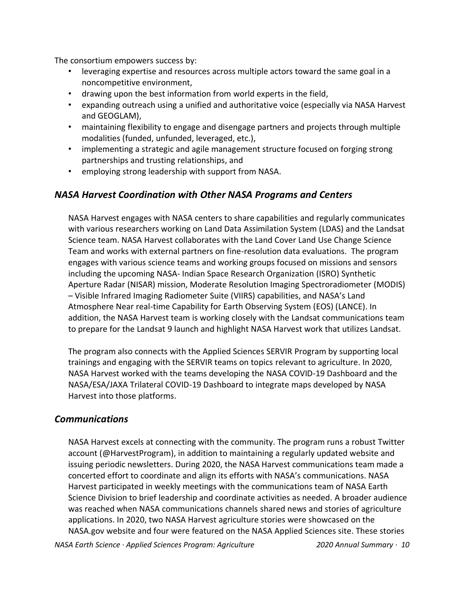The consortium empowers success by:

- leveraging expertise and resources across multiple actors toward the same goal in a noncompetitive environment,
- drawing upon the best information from world experts in the field,
- expanding outreach using a unified and authoritative voice (especially via NASA Harvest and GEOGLAM),
- maintaining flexibility to engage and disengage partners and projects through multiple modalities (funded, unfunded, leveraged, etc.),
- implementing a strategic and agile management structure focused on forging strong partnerships and trusting relationships, and
- employing strong leadership with support from NASA.

### *NASA Harvest Coordination with Other NASA Programs and Centers*

NASA Harvest engages with NASA centers to share capabilities and regularly communicates with various researchers working on Land Data Assimilation System (LDAS) and the Landsat Science team. NASA Harvest collaborates with the Land Cover Land Use Change Science Team and works with external partners on fine-resolution data evaluations. The program engages with various science teams and working groups focused on missions and sensors including the upcoming NASA- Indian Space Research Organization (ISRO) Synthetic Aperture Radar (NISAR) mission, Moderate Resolution Imaging Spectroradiometer (MODIS) – Visible Infrared Imaging Radiometer Suite (VIIRS) capabilities, and NASA's Land Atmosphere Near real-time Capability for Earth Observing System (EOS) (LANCE). In addition, the NASA Harvest team is working closely with the Landsat communications team to prepare for the Landsat 9 launch and highlight NASA Harvest work that utilizes Landsat.

The program also connects with the Applied Sciences SERVIR Program by supporting local trainings and engaging with the SERVIR teams on topics relevant to agriculture. In 2020, NASA Harvest worked with the teams developing the NASA COVID-19 Dashboard and the NASA/ESA/JAXA Trilateral COVID-19 Dashboard to integrate maps developed by NASA Harvest into those platforms.

#### *Communications*

NASA Harvest excels at connecting with the community. The program runs a robust Twitter account (@HarvestProgram), in addition to maintaining a regularly updated website and issuing periodic newsletters. During 2020, the NASA Harvest communications team made a concerted effort to coordinate and align its efforts with NASA's communications. NASA Harvest participated in weekly meetings with the communications team of NASA Earth Science Division to brief leadership and coordinate activities as needed. A broader audience was reached when NASA communications channels shared news and stories of agriculture applications. In 2020, two NASA Harvest agriculture stories were showcased on the NASA.gov website and four were featured on the NASA Applied Sciences site. These stories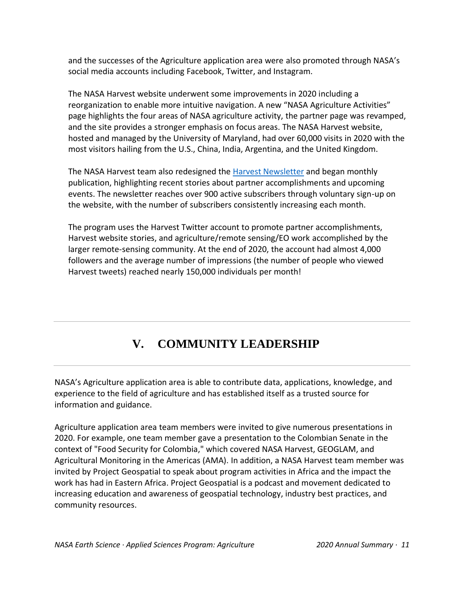and the successes of the Agriculture application area were also promoted through NASA's social media accounts including Facebook, Twitter, and Instagram.

The NASA Harvest website underwent some improvements in 2020 including a reorganization to enable more intuitive navigation. A new "NASA Agriculture Activities" page highlights the four areas of NASA agriculture activity, the partner page was revamped, and the site provides a stronger emphasis on focus areas. The NASA Harvest website, hosted and managed by the University of Maryland, had over 60,000 visits in 2020 with the most visitors hailing from the U.S., China, India, Argentina, and the United Kingdom.

The NASA Harvest team also redesigned the [Harvest Newsletter](https://nasaharvest.org/nasa-harvest-newsletter) and began monthly publication, highlighting recent stories about partner accomplishments and upcoming events. The newsletter reaches over 900 active subscribers through voluntary sign-up on the website, with the number of subscribers consistently increasing each month.

The program uses the Harvest Twitter account to promote partner accomplishments, Harvest website stories, and agriculture/remote sensing/EO work accomplished by the larger remote-sensing community. At the end of 2020, the account had almost 4,000 followers and the average number of impressions (the number of people who viewed Harvest tweets) reached nearly 150,000 individuals per month!

# **V. COMMUNITY LEADERSHIP**

<span id="page-12-0"></span>NASA's Agriculture application area is able to contribute data, applications, knowledge, and experience to the field of agriculture and has established itself as a trusted source for information and guidance.

Agriculture application area team members were invited to give numerous presentations in 2020. For example, one team member gave a presentation to the Colombian Senate in the context of "Food Security for Colombia," which covered NASA Harvest, GEOGLAM, and Agricultural Monitoring in the Americas (AMA). In addition, a NASA Harvest team member was invited by Project Geospatial to speak about program activities in Africa and the impact the work has had in Eastern Africa. Project Geospatial is a podcast and movement dedicated to increasing education and awareness of geospatial technology, industry best practices, and community resources.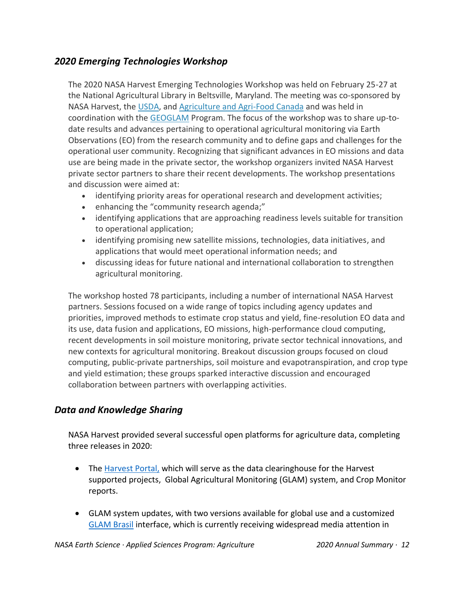## *2020 Emerging Technologies Workshop*

The 2020 NASA Harvest Emerging Technologies Workshop was held on February 25-27 at the National Agricultural Library in Beltsville, Maryland. The meeting was co-sponsored by NASA Harvest, the [USDA,](https://www.usda.gov/) and [Agriculture and Agri-Food Canada](http://www.agr.gc.ca/eng/agriculture-and-agri-food-canada/?id=1395690825741) and was held in coordination with the [GEOGLAM](https://nasaharvest.org/project/geo-global-agricultural-monitoring-geoglam-initiative) Program. The focus of the workshop was to share up-todate results and advances pertaining to operational agricultural monitoring via Earth Observations (EO) from the research community and to define gaps and challenges for the operational user community. Recognizing that significant advances in EO missions and data use are being made in the private sector, the workshop organizers invited NASA Harvest private sector partners to share their recent developments. The workshop presentations and discussion were aimed at:

- identifying priority areas for operational research and development activities;
- enhancing the "community research agenda;"
- identifying applications that are approaching readiness levels suitable for transition to operational application;
- identifying promising new satellite missions, technologies, data initiatives, and applications that would meet operational information needs; and
- discussing ideas for future national and international collaboration to strengthen agricultural monitoring.

The workshop hosted 78 participants, including a number of international NASA Harvest partners. Sessions focused on a wide range of topics including agency updates and priorities, improved methods to estimate crop status and yield, fine-resolution EO data and its use, data fusion and applications, EO missions, high-performance cloud computing, recent developments in soil moisture monitoring, private sector technical innovations, and new contexts for agricultural monitoring. Breakout discussion groups focused on cloud computing, public-private partnerships, soil moisture and evapotranspiration, and crop type and yield estimation; these groups sparked interactive discussion and encouraged collaboration between partners with overlapping activities.

## *Data and Knowledge Sharing*

NASA Harvest provided several successful open platforms for agriculture data, completing three releases in 2020:

- The [Harvest Portal,](https://harvestportal.org/) which will serve as the data clearinghouse for the Harvest supported projects, Global Agricultural Monitoring (GLAM) system, and Crop Monitor reports.
- GLAM system updates, with two versions available for global use and a customized [GLAM Brasil](https://www.glam.nasaharvest.org/brasil/) interface, which is currently receiving widespread media attention in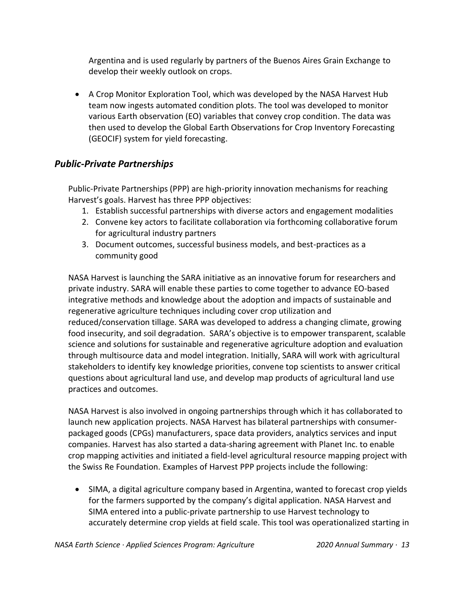Argentina and is used regularly by partners of the Buenos Aires Grain Exchange to develop their weekly outlook on crops.

• A Crop Monitor Exploration Tool, which was developed by the NASA Harvest Hub team now ingests automated condition plots. The tool was developed to monitor various Earth observation (EO) variables that convey crop condition. The data was then used to develop the Global Earth Observations for Crop Inventory Forecasting (GEOCIF) system for yield forecasting.

## *Public-Private Partnerships*

Public-Private Partnerships (PPP) are high-priority innovation mechanisms for reaching Harvest's goals. Harvest has three PPP objectives:

- 1. Establish successful partnerships with diverse actors and engagement modalities
- 2. Convene key actors to facilitate collaboration via forthcoming collaborative forum for agricultural industry partners
- 3. Document outcomes, successful business models, and best-practices as a community good

NASA Harvest is launching the SARA initiative as an innovative forum for researchers and private industry. SARA will enable these parties to come together to advance EO-based integrative methods and knowledge about the adoption and impacts of sustainable and regenerative agriculture techniques including cover crop utilization and reduced/conservation tillage. SARA was developed to address a changing climate, growing food insecurity, and soil degradation. SARA's objective is to empower transparent, scalable science and solutions for sustainable and regenerative agriculture adoption and evaluation through multisource data and model integration. Initially, SARA will work with agricultural stakeholders to identify key knowledge priorities, convene top scientists to answer critical questions about agricultural land use, and develop map products of agricultural land use practices and outcomes.

NASA Harvest is also involved in ongoing partnerships through which it has collaborated to launch new application projects. NASA Harvest has bilateral partnerships with consumerpackaged goods (CPGs) manufacturers, space data providers, analytics services and input companies. Harvest has also started a data-sharing agreement with Planet Inc. to enable crop mapping activities and initiated a field-level agricultural resource mapping project with the Swiss Re Foundation. Examples of Harvest PPP projects include the following:

• SIMA, a digital agriculture company based in Argentina, wanted to forecast crop yields for the farmers supported by the company's digital application. NASA Harvest and SIMA entered into a public-private partnership to use Harvest technology to accurately determine crop yields at field scale. This tool was operationalized starting in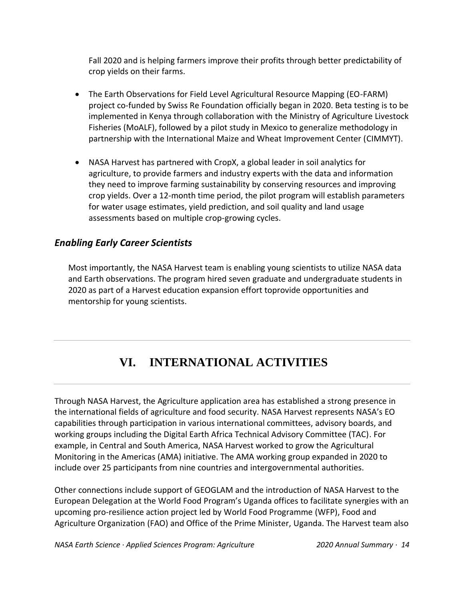Fall 2020 and is helping farmers improve their profits through better predictability of crop yields on their farms.

- The Earth Observations for Field Level Agricultural Resource Mapping (EO-FARM) project co-funded by Swiss Re Foundation officially began in 2020. Beta testing is to be implemented in Kenya through collaboration with the Ministry of Agriculture Livestock Fisheries (MoALF), followed by a pilot study in Mexico to generalize methodology in partnership with the International Maize and Wheat Improvement Center (CIMMYT).
- NASA Harvest has partnered with CropX, a global leader in soil analytics for agriculture, to provide farmers and industry experts with the data and information they need to improve farming sustainability by conserving resources and improving crop yields. Over a 12-month time period, the pilot program will establish parameters for water usage estimates, yield prediction, and soil quality and land usage assessments based on multiple crop-growing cycles.

## *Enabling Early Career Scientists*

Most importantly, the NASA Harvest team is enabling young scientists to utilize NASA data and Earth observations. The program hired seven graduate and undergraduate students in 2020 as part of a Harvest education expansion effort toprovide opportunities and mentorship for young scientists.

## **VI. INTERNATIONAL ACTIVITIES**

<span id="page-15-0"></span>Through NASA Harvest, the Agriculture application area has established a strong presence in the international fields of agriculture and food security. NASA Harvest represents NASA's EO capabilities through participation in various international committees, advisory boards, and working groups including the Digital Earth Africa Technical Advisory Committee (TAC). For example, in Central and South America, NASA Harvest worked to grow the Agricultural Monitoring in the Americas (AMA) initiative. The AMA working group expanded in 2020 to include over 25 participants from nine countries and intergovernmental authorities.

Other connections include support of GEOGLAM and the introduction of NASA Harvest to the European Delegation at the World Food Program's Uganda offices to facilitate synergies with an upcoming pro-resilience action project led by World Food Programme (WFP), Food and Agriculture Organization (FAO) and Office of the Prime Minister, Uganda. The Harvest team also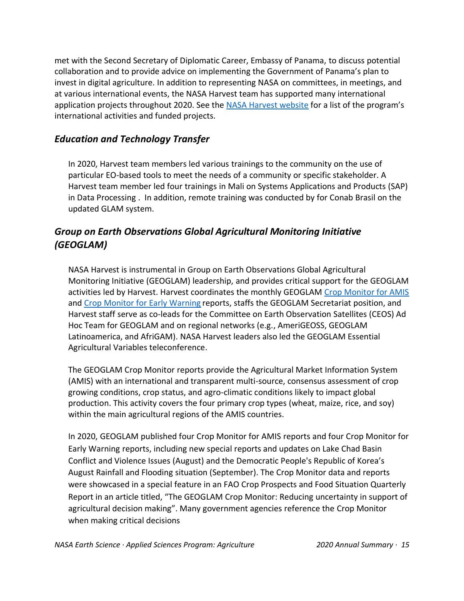met with the Second Secretary of Diplomatic Career, Embassy of Panama, to discuss potential collaboration and to provide advice on implementing the Government of Panama's plan to invest in digital agriculture. In addition to representing NASA on committees, in meetings, and at various international events, the NASA Harvest team has supported many international application projects throughout 2020. See the [NASA Harvest website](https://nasaharvest.org/projects) for a list of the program's international activities and funded projects.

## *Education and Technology Transfer*

In 2020, Harvest team members led various trainings to the community on the use of particular EO-based tools to meet the needs of a community or specific stakeholder. A Harvest team member led four trainings in Mali on Systems Applications and Products (SAP) in Data Processing . In addition, remote training was conducted by for Conab Brasil on the updated GLAM system.

## *Group on Earth Observations Global Agricultural Monitoring Initiative (GEOGLAM)*

NASA Harvest is instrumental in Group on Earth Observations Global Agricultural Monitoring Initiative (GEOGLAM) leadership, and provides critical support for the GEOGLAM activities led by Harvest. Harvest coordinates the monthly GEOGLAM [Crop Monitor for AMIS](https://nasaharvest.org/project/geoglam-crop-monitor-amis) and [Crop Monitor for Early Warning](https://nasaharvest.org/project/geoglam-crop-monitor-early-warning) reports, staffs the GEOGLAM Secretariat position, and Harvest staff serve as co-leads for the Committee on Earth Observation Satellites (CEOS) Ad Hoc Team for GEOGLAM and on regional networks (e.g., AmeriGEOSS, GEOGLAM Latinoamerica, and AfriGAM). NASA Harvest leaders also led the GEOGLAM Essential Agricultural Variables teleconference.

The GEOGLAM Crop Monitor reports provide the Agricultural Market Information System (AMIS) with an international and transparent multi-source, consensus assessment of crop growing conditions, crop status, and agro-climatic conditions likely to impact global production. This activity covers the four primary crop types (wheat, maize, rice, and soy) within the main agricultural regions of the AMIS countries.

In 2020, GEOGLAM published four Crop Monitor for AMIS reports and four Crop Monitor for Early Warning reports, including new special reports and updates on Lake Chad Basin Conflict and Violence Issues (August) and the Democratic People's Republic of Korea's August Rainfall and Flooding situation (September). The Crop Monitor data and reports were showcased in a special feature in an FAO Crop Prospects and Food Situation Quarterly Report in an article titled, "The GEOGLAM Crop Monitor: Reducing uncertainty in support of agricultural decision making". Many government agencies reference the Crop Monitor when making critical decisions